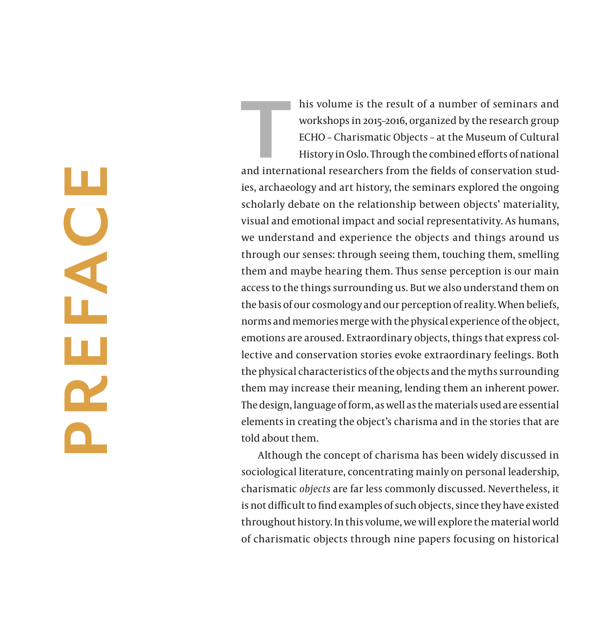**PREFACE** EAC ш  $\mathbf{R}$ 

his volume is the result of a number of seminars and<br>workshops in 2015-2016, organized by the research group<br>ECHO - Charismatic Objects - at the Museum of Cultural<br>History in Oslo. Through the combined efforts of national<br> workshops in 2015–2016, organized by the research group ECHO – Charismatic Objects – at the Museum of Cultural History in Oslo. Through the combined efforts of national and international researchers from the fields of conservation stud ies, archaeology and art history, the seminars explored the ongoing scholarly debate on the relationship between objects' materiality, visual and emotional impact and social representativity. As humans, we understand and experience the objects and things around us through our senses: through seeing them, touching them, smelling them and maybe hearing them. Thus sense perception is our main access to the things surrounding us. But we also understand them on the basis of our cosmology and our perception of reality. When beliefs, norms and memories merge with the physical experience of the object, emotions are aroused. Extraordinary objects, things that express col lective and conservation stories evoke extraordinary feelings. Both the physical characteristics of the objects and the myths surrounding them may increase their meaning, lending them an inherent power. The design, language of form, as well as the materials used are essential elements in creating the object's charisma and in the stories that are told about them.

Although the concept of charisma has been widely discussed in sociological literature, concentrating mainly on personal leadership, charismatic *objects* are far less commonly discussed. Nevertheless, it is not difficult to find examples of such objects, since they have existed throughout history. In this volume, we will explore the material world of charismatic objects through nine papers focusing on historical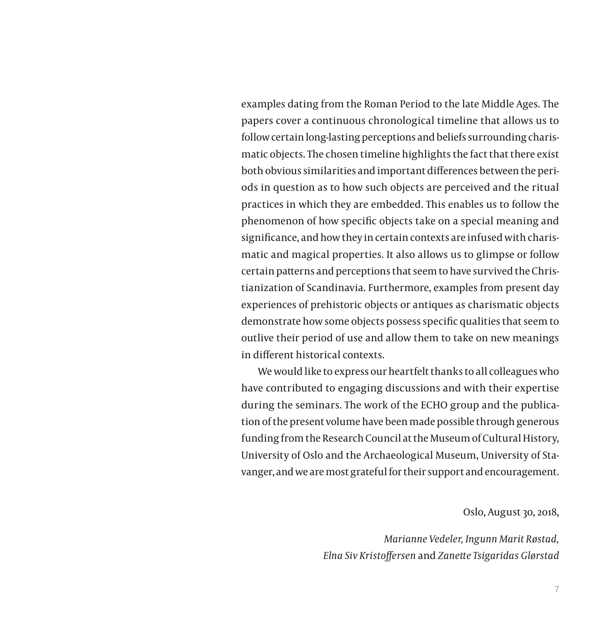examples dating from the Roman Period to the late Middle Ages. The papers cover a continuous chronological timeline that allows us to follow certain long-lasting perceptions and beliefs surrounding charismatic objects. The chosen timeline highlights the fact that there exist both obvious similarities and important differences between the periods in question as to how such objects are perceived and the ritual practices in which they are embedded. This enables us to follow the phenomenon of how specific objects take on a special meaning and significance, and how they in certain contexts are infused with charismatic and magical properties. It also allows us to glimpse or follow certain patterns and perceptions that seem to have survived the Christianization of Scandinavia. Furthermore, examples from present day experiences of prehistoric objects or antiques as charismatic objects demonstrate how some objects possess specific qualities that seem to outlive their period of use and allow them to take on new meanings in different historical contexts.

We would like to express our heartfelt thanks to all colleagues who have contributed to engaging discussions and with their expertise during the seminars. The work of the ECHO group and the publication of the present volume have been made possible through generous funding from the Research Council at the Museum of Cultural History, University of Oslo and the Archaeological Museum, University of Stavanger, and we are most grateful for their support and encouragement.

Oslo, August 30, 2018,

*Marianne Vedeler, Ingunn Marit Røstad, Elna Siv Kristoffersen* and *Zanette Tsigaridas Glørstad*